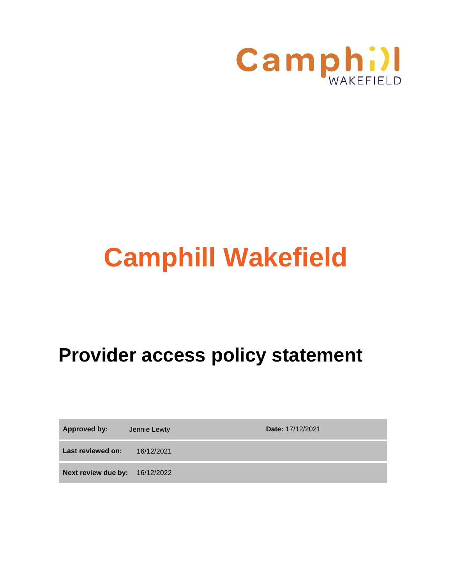

# **Camphill Wakefield**

# **Provider access policy statement**

**Approved by:** Jennie Lewty **Date: 17/12/2021** 

**Last reviewed on:** 16/12/2021

**Next review due by:** 16/12/2022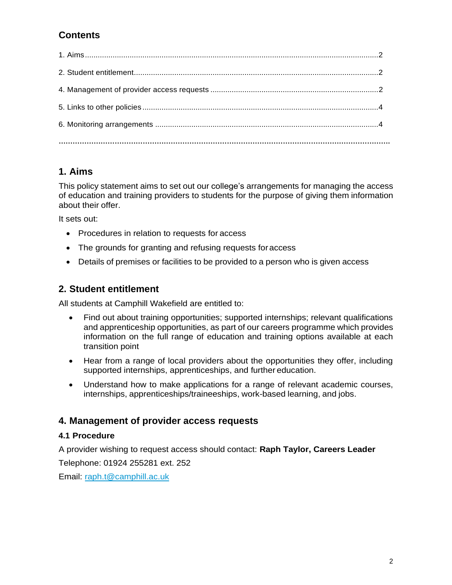# **Contents**

# <span id="page-1-0"></span>**1. Aims**

This policy statement aims to set out our college's arrangements for managing the access of education and training providers to students for the purpose of giving them information about their offer.

It sets out:

- Procedures in relation to requests for access
- The grounds for granting and refusing requests foraccess
- Details of premises or facilities to be provided to a person who is given access

# <span id="page-1-1"></span>**2. Student entitlement**

All students at Camphill Wakefield are entitled to:

- Find out about training opportunities; supported internships; relevant qualifications and apprenticeship opportunities, as part of our careers programme which provides information on the full range of education and training options available at each transition point
- Hear from a range of local providers about the opportunities they offer, including supported internships, apprenticeships, and further education.
- Understand how to make applications for a range of relevant academic courses, internships, apprenticeships/traineeships, work-based learning, and jobs.

## <span id="page-1-2"></span>**4. Management of provider access requests**

#### **4.1 Procedure**

A provider wishing to request access should contact: **Raph Taylor, Careers Leader**

Telephone: 01924 255281 ext. 252

Email: [raph.t@camphill.ac.uk](mailto:raph.t@camphill.ac.uk)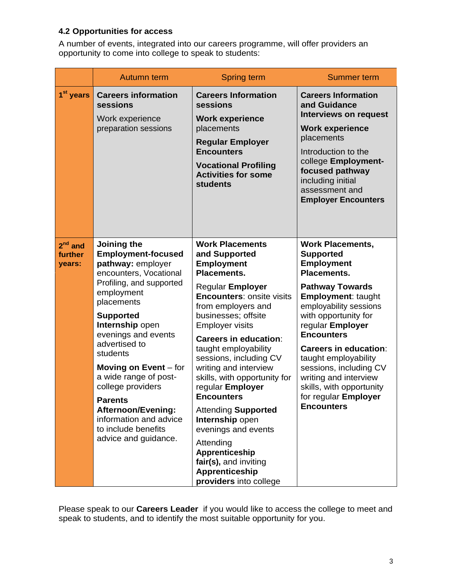# **4.2 Opportunities for access**

A number of events, integrated into our careers programme, will offer providers an opportunity to come into college to speak to students:

|                                   | Autumn term                                                                                                                                                                                                                                                                                                                                                                                                                                 | <b>Spring term</b>                                                                                                                                                                                                                                                                                                                                                                                                                                                                                                                                                                | Summer term                                                                                                                                                                                                                                                                                                                                                                                                                  |
|-----------------------------------|---------------------------------------------------------------------------------------------------------------------------------------------------------------------------------------------------------------------------------------------------------------------------------------------------------------------------------------------------------------------------------------------------------------------------------------------|-----------------------------------------------------------------------------------------------------------------------------------------------------------------------------------------------------------------------------------------------------------------------------------------------------------------------------------------------------------------------------------------------------------------------------------------------------------------------------------------------------------------------------------------------------------------------------------|------------------------------------------------------------------------------------------------------------------------------------------------------------------------------------------------------------------------------------------------------------------------------------------------------------------------------------------------------------------------------------------------------------------------------|
| 1 <sup>st</sup> years             | <b>Careers information</b><br>sessions<br>Work experience<br>preparation sessions                                                                                                                                                                                                                                                                                                                                                           | <b>Careers Information</b><br>sessions<br><b>Work experience</b><br>placements<br><b>Regular Employer</b><br><b>Encounters</b><br><b>Vocational Profiling</b><br><b>Activities for some</b><br><b>students</b>                                                                                                                                                                                                                                                                                                                                                                    | <b>Careers Information</b><br>and Guidance<br><b>Interviews on request</b><br><b>Work experience</b><br>placements<br>Introduction to the<br>college Employment-<br>focused pathway<br>including initial<br>assessment and<br><b>Employer Encounters</b>                                                                                                                                                                     |
| $2^{nd}$ and<br>further<br>years: | Joining the<br><b>Employment-focused</b><br>pathway: employer<br>encounters, Vocational<br>Profiling, and supported<br>employment<br>placements<br><b>Supported</b><br>Internship open<br>evenings and events<br>advertised to<br>students<br>Moving on $Event - for$<br>a wide range of post-<br>college providers<br><b>Parents</b><br><b>Afternoon/Evening:</b><br>information and advice<br>to include benefits<br>advice and guidance. | <b>Work Placements</b><br>and Supported<br><b>Employment</b><br>Placements.<br><b>Regular Employer</b><br><b>Encounters: onsite visits</b><br>from employers and<br>businesses; offsite<br><b>Employer visits</b><br><b>Careers in education:</b><br>taught employability<br>sessions, including CV<br>writing and interview<br>skills, with opportunity for<br>regular Employer<br><b>Encounters</b><br><b>Attending Supported</b><br>Internship open<br>evenings and events<br>Attending<br>Apprenticeship<br>fair(s), and inviting<br>Apprenticeship<br>providers into college | <b>Work Placements,</b><br><b>Supported</b><br><b>Employment</b><br><b>Placements.</b><br><b>Pathway Towards</b><br><b>Employment: taught</b><br>employability sessions<br>with opportunity for<br>regular Employer<br><b>Encounters</b><br><b>Careers in education:</b><br>taught employability<br>sessions, including CV<br>writing and interview<br>skills, with opportunity<br>for regular Employer<br><b>Encounters</b> |

Please speak to our **Careers Leader** if you would like to access the college to meet and speak to students, and to identify the most suitable opportunity for you.